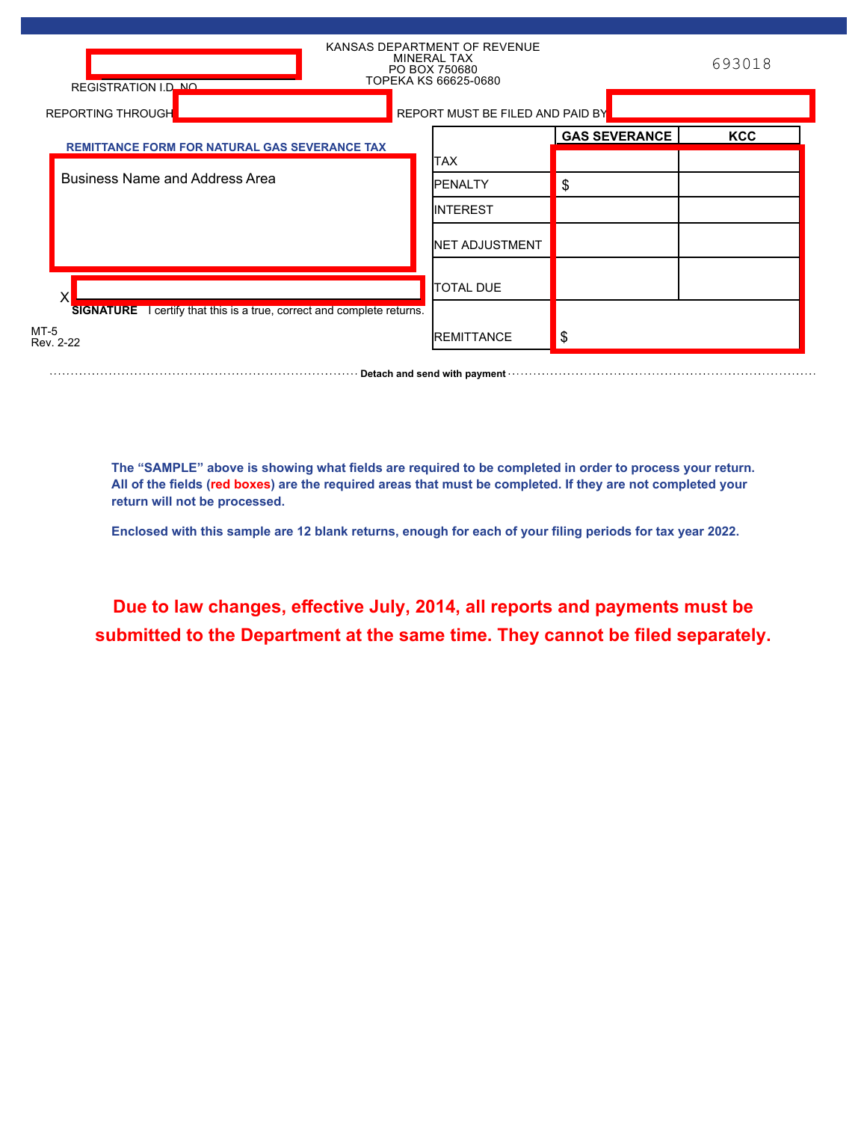| REGISTRATION I.D. NO.                                                         | KANSAS DEPARTMENT OF REVENUE<br>MINERAL TAX<br>PO BOX 750680<br>TOPEKA KS 66625-0680 |                      | 693018     |
|-------------------------------------------------------------------------------|--------------------------------------------------------------------------------------|----------------------|------------|
| <b>REPORTING THROUGH</b>                                                      | REPORT MUST BE FILED AND PAID BY                                                     |                      |            |
| <b>REMITTANCE FORM FOR NATURAL GAS SEVERANCE TAX</b>                          |                                                                                      | <b>GAS SEVERANCE</b> | <b>KCC</b> |
|                                                                               | <b>ITAX</b>                                                                          |                      |            |
| <b>Business Name and Address Area</b>                                         | <b>IPENALTY</b>                                                                      | \$                   |            |
|                                                                               | <b>INTEREST</b>                                                                      |                      |            |
|                                                                               | <b>INET ADJUSTMENT</b>                                                               |                      |            |
|                                                                               | <b>TOTAL DUE</b>                                                                     |                      |            |
| <b>SIGNATURE</b> I certify that this is a true, correct and complete returns. |                                                                                      |                      |            |
| $MT-5$<br>Rev. 2-22                                                           | <b>IREMITTANCE</b>                                                                   | \$                   |            |

**The "SAMPLE" above is showing what fields are required to be completed in order to process your return. All of the fields (red boxes) are the required areas that must be completed. If they are not completed your return will not be processed.**

**Detach and send with payment** with continued and send with an approximation of the payment with payment with  $\alpha$ .

**Enclosed with this sample are 12 blank returns, enough for each of your filing periods for tax year 2022.**

**Due to law changes, effective July, 2014, all reports and payments must be submitted to the Department at the same time. They cannot be filed separately.**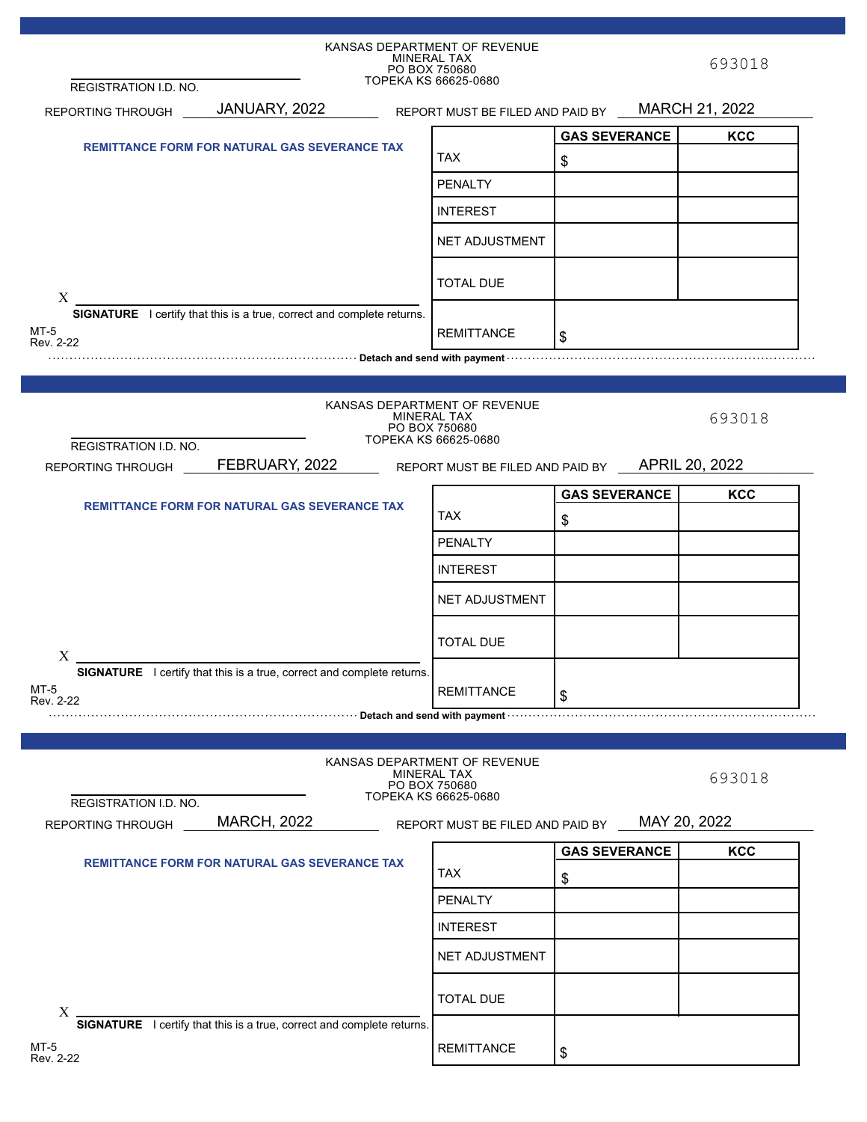|                                                      |                                                                                                                                                                                                                                      |            | KANSAS DEPARTMENT OF REVENUE<br><b>MINERAL TAX</b><br>PO BOX 750680 |                      | 693018       |
|------------------------------------------------------|--------------------------------------------------------------------------------------------------------------------------------------------------------------------------------------------------------------------------------------|------------|---------------------------------------------------------------------|----------------------|--------------|
| REGISTRATION I.D. NO.                                |                                                                                                                                                                                                                                      |            | TOPEKA KS 66625-0680                                                |                      |              |
| REPORTING THROUGH                                    | JANUARY, 2022 REPORT MUST BE FILED AND PAID BY MARCH 21, 2022                                                                                                                                                                        |            |                                                                     |                      |              |
|                                                      |                                                                                                                                                                                                                                      |            |                                                                     | <b>GAS SEVERANCE</b> | <b>KCC</b>   |
| <b>REMITTANCE FORM FOR NATURAL GAS SEVERANCE TAX</b> |                                                                                                                                                                                                                                      | <b>TAX</b> | \$                                                                  |                      |              |
|                                                      |                                                                                                                                                                                                                                      |            | <b>PENALTY</b>                                                      |                      |              |
|                                                      |                                                                                                                                                                                                                                      |            | <b>INTEREST</b>                                                     |                      |              |
|                                                      |                                                                                                                                                                                                                                      |            |                                                                     |                      |              |
|                                                      |                                                                                                                                                                                                                                      |            | NET ADJUSTMENT                                                      |                      |              |
|                                                      |                                                                                                                                                                                                                                      |            | <b>TOTAL DUE</b>                                                    |                      |              |
| X                                                    | <b>SIGNATURE</b> I certify that this is a true, correct and complete returns.                                                                                                                                                        |            |                                                                     |                      |              |
| MT-5                                                 |                                                                                                                                                                                                                                      |            | <b>REMITTANCE</b>                                                   |                      |              |
| Rev. 2-22                                            | <u>net and send you construct the construction of the construction of the construction of the construction of the construction of the construction of the construction of the construction of the construction of the constructi</u> |            |                                                                     | \$                   |              |
|                                                      |                                                                                                                                                                                                                                      |            |                                                                     |                      |              |
|                                                      |                                                                                                                                                                                                                                      |            |                                                                     |                      |              |
|                                                      |                                                                                                                                                                                                                                      |            | KANSAS DEPARTMENT OF REVENUE<br>MINERAL TAX<br>PO BOX 750680        |                      | 693018       |
| <b>REGISTRATION I.D. NO.</b>                         |                                                                                                                                                                                                                                      |            | TOPEKA KS 66625-0680                                                |                      |              |
| REPORTING THROUGH                                    | FEBRUARY, 2022 REPORT MUST BE FILED AND PAID BY APRIL 20, 2022                                                                                                                                                                       |            |                                                                     |                      |              |
|                                                      |                                                                                                                                                                                                                                      |            |                                                                     | <b>GAS SEVERANCE</b> | <b>KCC</b>   |
|                                                      | <b>REMITTANCE FORM FOR NATURAL GAS SEVERANCE TAX</b>                                                                                                                                                                                 |            | <b>TAX</b>                                                          | \$                   |              |
|                                                      |                                                                                                                                                                                                                                      |            | <b>PENALTY</b>                                                      |                      |              |
|                                                      |                                                                                                                                                                                                                                      |            | <b>INTEREST</b>                                                     |                      |              |
|                                                      |                                                                                                                                                                                                                                      |            | NET ADJUSTMENT                                                      |                      |              |
|                                                      |                                                                                                                                                                                                                                      |            | <b>TOTAL DUE</b>                                                    |                      |              |
| X                                                    |                                                                                                                                                                                                                                      |            |                                                                     |                      |              |
| MT-5                                                 | SIGNATURE I certify that this is a true, correct and complete returns.                                                                                                                                                               |            | <b>REMITTANCE</b>                                                   |                      |              |
| Rev. 2-22                                            | Detach and send with payment with construction of the constraint of the constraint of the constraint of the constraint of the constraint of the constraint of the constraint of the constraint of the constraint of the constr       |            |                                                                     | \$                   |              |
|                                                      |                                                                                                                                                                                                                                      |            |                                                                     |                      |              |
|                                                      |                                                                                                                                                                                                                                      |            | KANSAS DEPARTMENT OF REVENUE                                        |                      |              |
|                                                      |                                                                                                                                                                                                                                      |            | MINERAL TAX<br>PO BOX 750680                                        |                      | 693018       |
| REGISTRATION I.D. NO.                                |                                                                                                                                                                                                                                      |            | TOPEKA KS 66625-0680                                                |                      |              |
| REPORTING THROUGH                                    | <b>MARCH, 2022</b>                                                                                                                                                                                                                   |            | REPORT MUST BE FILED AND PAID BY                                    |                      | MAY 20, 2022 |
|                                                      |                                                                                                                                                                                                                                      |            |                                                                     | <b>GAS SEVERANCE</b> | <b>KCC</b>   |
| <b>REMITTANCE FORM FOR NATURAL GAS SEVERANCE TAX</b> |                                                                                                                                                                                                                                      | <b>TAX</b> | \$                                                                  |                      |              |
|                                                      |                                                                                                                                                                                                                                      |            | PENALTY                                                             |                      |              |
|                                                      |                                                                                                                                                                                                                                      |            | <b>INTEREST</b>                                                     |                      |              |
|                                                      |                                                                                                                                                                                                                                      |            | NET ADJUSTMENT                                                      |                      |              |
|                                                      |                                                                                                                                                                                                                                      |            | <b>TOTAL DUE</b>                                                    |                      |              |
| $X$ .                                                | <b>SIGNATURE</b> I certify that this is a true, correct and complete returns.                                                                                                                                                        |            |                                                                     |                      |              |
| MT-5<br>Rev. 2-22                                    |                                                                                                                                                                                                                                      |            | <b>REMITTANCE</b>                                                   | \$                   |              |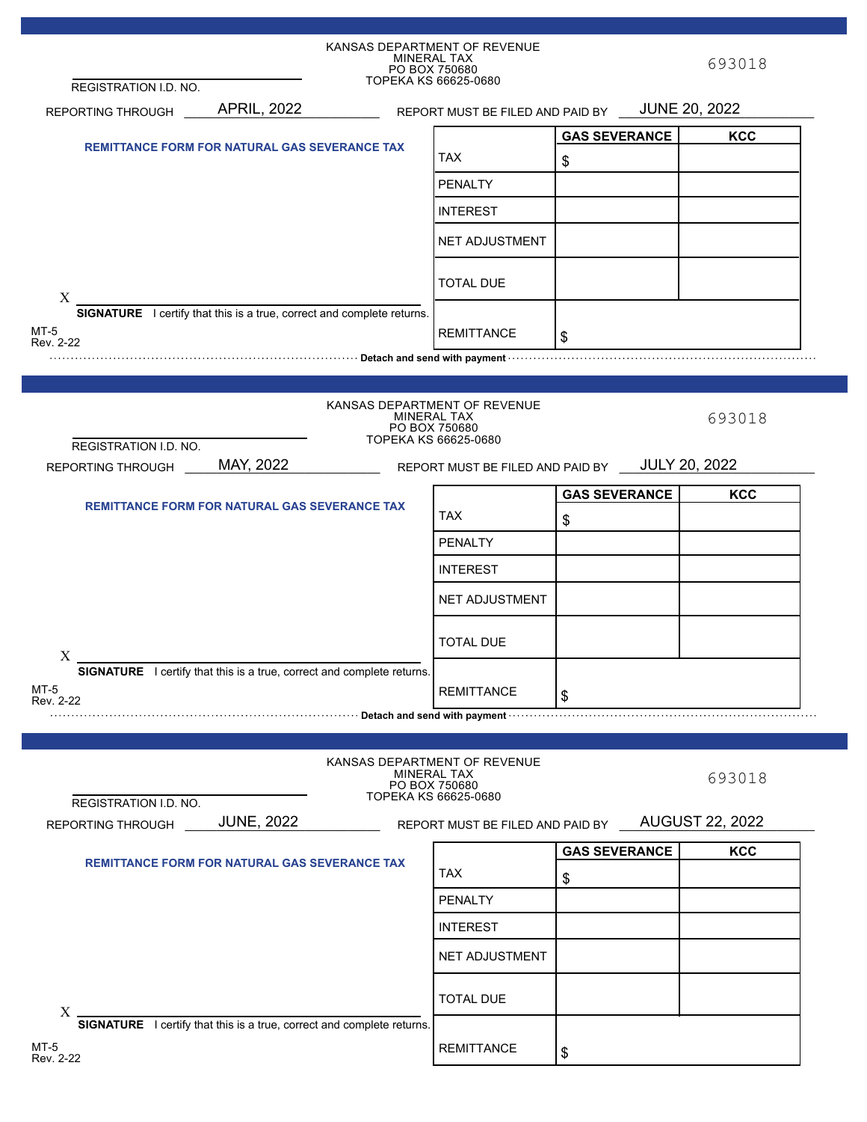|                                                                                                                                                                                                                                      |                                                      | KANSAS DEPARTMENT OF REVENUE<br>MINERAL TAX<br>PO BOX 750680                                |                      | 693018                 |
|--------------------------------------------------------------------------------------------------------------------------------------------------------------------------------------------------------------------------------------|------------------------------------------------------|---------------------------------------------------------------------------------------------|----------------------|------------------------|
| REGISTRATION I.D. NO.                                                                                                                                                                                                                |                                                      | TOPEKA KS 66625-0680                                                                        |                      |                        |
| <b>REPORTING THROUGH</b>                                                                                                                                                                                                             | <b>APRIL, 2022</b>                                   | REPORT MUST BE FILED AND PAID BY                                                            |                      | <b>JUNE 20, 2022</b>   |
|                                                                                                                                                                                                                                      |                                                      |                                                                                             | <b>GAS SEVERANCE</b> | <b>KCC</b>             |
| <b>REMITTANCE FORM FOR NATURAL GAS SEVERANCE TAX</b>                                                                                                                                                                                 |                                                      | <b>TAX</b>                                                                                  | \$                   |                        |
|                                                                                                                                                                                                                                      |                                                      | <b>PENALTY</b>                                                                              |                      |                        |
|                                                                                                                                                                                                                                      |                                                      | <b>INTEREST</b>                                                                             |                      |                        |
|                                                                                                                                                                                                                                      |                                                      | <b>NET ADJUSTMENT</b>                                                                       |                      |                        |
|                                                                                                                                                                                                                                      |                                                      | <b>TOTAL DUE</b>                                                                            |                      |                        |
| X<br><b>SIGNATURE</b> I certify that this is a true, correct and complete returns.                                                                                                                                                   |                                                      |                                                                                             |                      |                        |
| MT-5<br>Rev. 2-22                                                                                                                                                                                                                    |                                                      | <b>REMITTANCE</b>                                                                           | \$                   |                        |
| <u>net and the parameter control of the control of the control of the control of the payment of the control of the control of the control of the control of the control of the control of the control of the control of the cont</u> |                                                      |                                                                                             |                      |                        |
|                                                                                                                                                                                                                                      |                                                      |                                                                                             |                      |                        |
|                                                                                                                                                                                                                                      |                                                      | KANSAS DEPARTMENT OF REVENUE<br><b>MINERAL TAX</b><br>PO BOX 750680<br>TOPEKA KS 66625-0680 |                      | 693018                 |
| REGISTRATION I.D. NO.<br>REPORTING THROUGH                                                                                                                                                                                           | MAY, 2022                                            | REPORT MUST BE FILED AND PAID BY JULY 20, 2022                                              |                      |                        |
|                                                                                                                                                                                                                                      |                                                      |                                                                                             |                      |                        |
|                                                                                                                                                                                                                                      | <b>REMITTANCE FORM FOR NATURAL GAS SEVERANCE TAX</b> |                                                                                             | <b>GAS SEVERANCE</b> | <b>KCC</b>             |
|                                                                                                                                                                                                                                      |                                                      | <b>TAX</b>                                                                                  | \$                   |                        |
|                                                                                                                                                                                                                                      |                                                      | PENALTY                                                                                     |                      |                        |
|                                                                                                                                                                                                                                      |                                                      | <b>INTEREST</b>                                                                             |                      |                        |
|                                                                                                                                                                                                                                      |                                                      | <b>NET ADJUSTMENT</b>                                                                       |                      |                        |
| $X_{-}$                                                                                                                                                                                                                              |                                                      | <b>TOTAL DUE</b>                                                                            |                      |                        |
| SIGNATURE I certify that this is a true, correct and complete returns.                                                                                                                                                               |                                                      |                                                                                             |                      |                        |
| MT-5<br>Rev. 2-22                                                                                                                                                                                                                    |                                                      | <b>REMITTANCE</b>                                                                           | \$                   |                        |
| <u>Exercise control of the control of the control of the control of the control of the payment of the control of the control of the control of the control of the control of the control of the control of the control of the co</u> |                                                      |                                                                                             |                      |                        |
|                                                                                                                                                                                                                                      |                                                      |                                                                                             |                      |                        |
|                                                                                                                                                                                                                                      |                                                      | KANSAS DEPARTMENT OF REVENUE<br><b>MINERAL TAX</b><br>PO BOX 750680<br>TOPEKA KS 66625-0680 |                      | 693018                 |
| REGISTRATION I.D. NO.<br>REPORTING THROUGH                                                                                                                                                                                           | <b>JUNE, 2022</b>                                    | REPORT MUST BE FILED AND PAID BY                                                            |                      | <b>AUGUST 22, 2022</b> |
|                                                                                                                                                                                                                                      | <b>REMITTANCE FORM FOR NATURAL GAS SEVERANCE TAX</b> |                                                                                             | <b>GAS SEVERANCE</b> | <b>KCC</b>             |
|                                                                                                                                                                                                                                      |                                                      | <b>TAX</b>                                                                                  | \$                   |                        |
|                                                                                                                                                                                                                                      |                                                      | <b>PENALTY</b>                                                                              |                      |                        |
|                                                                                                                                                                                                                                      |                                                      | <b>INTEREST</b>                                                                             |                      |                        |
|                                                                                                                                                                                                                                      |                                                      | NET ADJUSTMENT                                                                              |                      |                        |
| X                                                                                                                                                                                                                                    |                                                      | <b>TOTAL DUE</b>                                                                            |                      |                        |
| SIGNATURE I certify that this is a true, correct and complete returns.<br>MT-5<br>Rev. 2-22                                                                                                                                          |                                                      | <b>REMITTANCE</b>                                                                           | \$                   |                        |

×,

×.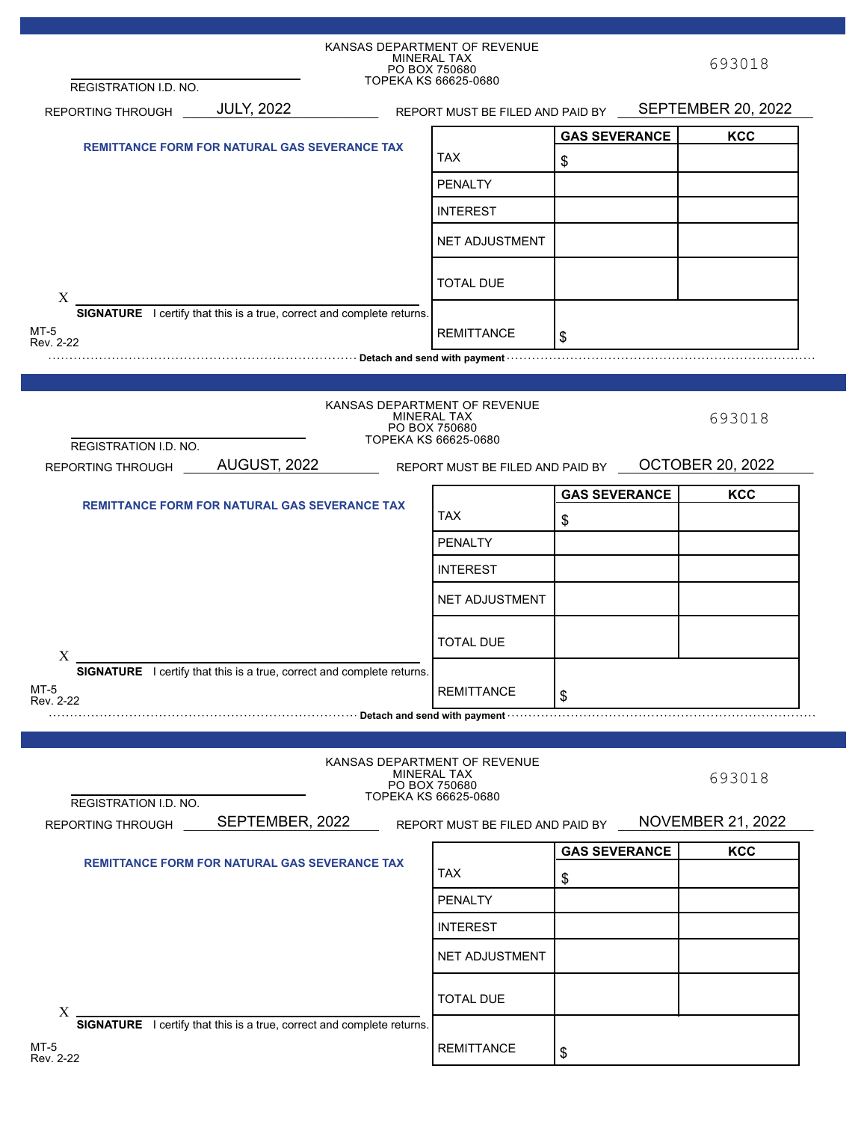|                                                      |                                                                                                                                                                                                                                | KANSAS DEPARTMENT OF REVENUE<br>MINERAL TAX         |                      | 693018                   |
|------------------------------------------------------|--------------------------------------------------------------------------------------------------------------------------------------------------------------------------------------------------------------------------------|-----------------------------------------------------|----------------------|--------------------------|
| REGISTRATION I.D. NO.                                |                                                                                                                                                                                                                                | PO BOX 750680<br>TOPEKA KS 66625-0680               |                      |                          |
| REPORTING THROUGH                                    | <b>JULY, 2022</b>                                                                                                                                                                                                              | REPORT MUST BE FILED AND PAID BY SEPTEMBER 20, 2022 |                      |                          |
|                                                      |                                                                                                                                                                                                                                |                                                     | <b>GAS SEVERANCE</b> | <b>KCC</b>               |
| <b>REMITTANCE FORM FOR NATURAL GAS SEVERANCE TAX</b> |                                                                                                                                                                                                                                | TAX                                                 | \$                   |                          |
|                                                      |                                                                                                                                                                                                                                | <b>PENALTY</b>                                      |                      |                          |
|                                                      |                                                                                                                                                                                                                                | <b>INTEREST</b>                                     |                      |                          |
|                                                      |                                                                                                                                                                                                                                |                                                     |                      |                          |
|                                                      |                                                                                                                                                                                                                                | <b>NET ADJUSTMENT</b>                               |                      |                          |
|                                                      |                                                                                                                                                                                                                                | <b>TOTAL DUE</b>                                    |                      |                          |
| X                                                    | <b>SIGNATURE</b> I certify that this is a true, correct and complete returns.                                                                                                                                                  |                                                     |                      |                          |
| MT-5                                                 |                                                                                                                                                                                                                                | <b>REMITTANCE</b>                                   | \$                   |                          |
| Rev. 2-22                                            |                                                                                                                                                                                                                                |                                                     |                      |                          |
|                                                      |                                                                                                                                                                                                                                |                                                     |                      |                          |
|                                                      |                                                                                                                                                                                                                                | KANSAS DEPARTMENT OF REVENUE                        |                      |                          |
|                                                      |                                                                                                                                                                                                                                | MINERAL TAX<br>PO BOX 750680                        |                      | 693018                   |
| REGISTRATION I.D. NO.                                |                                                                                                                                                                                                                                | TOPEKA KS 66625-0680                                |                      |                          |
| REPORTING THROUGH                                    | AUGUST, 2022                                                                                                                                                                                                                   | REPORT MUST BE FILED AND PAID BY                    |                      | <b>OCTOBER 20, 2022</b>  |
|                                                      |                                                                                                                                                                                                                                |                                                     | <b>GAS SEVERANCE</b> | <b>KCC</b>               |
|                                                      | <b>REMITTANCE FORM FOR NATURAL GAS SEVERANCE TAX</b>                                                                                                                                                                           | <b>TAX</b>                                          | \$                   |                          |
|                                                      |                                                                                                                                                                                                                                | <b>PENALTY</b>                                      |                      |                          |
|                                                      |                                                                                                                                                                                                                                |                                                     |                      |                          |
|                                                      |                                                                                                                                                                                                                                | <b>INTEREST</b>                                     |                      |                          |
|                                                      |                                                                                                                                                                                                                                | <b>NET ADJUSTMENT</b>                               |                      |                          |
|                                                      |                                                                                                                                                                                                                                |                                                     |                      |                          |
| $X_{-}$                                              |                                                                                                                                                                                                                                | <b>TOTAL DUE</b>                                    |                      |                          |
|                                                      | SIGNATURE I certify that this is a true, correct and complete returns.                                                                                                                                                         |                                                     |                      |                          |
| MT-5<br>Rev. 2-22                                    |                                                                                                                                                                                                                                | <b>REMITTANCE</b>                                   | \$                   |                          |
|                                                      | Detach and send with payment with construction of the constraint of the constraint of the construction of the constraint of the constraint of the constraint of the constraint of the constraint of the constraint of the cons |                                                     |                      |                          |
|                                                      |                                                                                                                                                                                                                                |                                                     |                      |                          |
|                                                      |                                                                                                                                                                                                                                | KANSAS DEPARTMENT OF REVENUE<br>MINERAL TAX         |                      |                          |
|                                                      |                                                                                                                                                                                                                                | PO BOX 750680<br>TOPEKA KS 66625-0680               |                      | 693018                   |
| REGISTRATION I.D. NO.                                |                                                                                                                                                                                                                                |                                                     |                      |                          |
| REPORTING THROUGH                                    | SEPTEMBER, 2022                                                                                                                                                                                                                | REPORT MUST BE FILED AND PAID BY                    |                      | <b>NOVEMBER 21, 2022</b> |
|                                                      | <b>REMITTANCE FORM FOR NATURAL GAS SEVERANCE TAX</b>                                                                                                                                                                           |                                                     | <b>GAS SEVERANCE</b> | <b>KCC</b>               |
|                                                      |                                                                                                                                                                                                                                | <b>TAX</b>                                          | \$                   |                          |
|                                                      |                                                                                                                                                                                                                                | <b>PENALTY</b>                                      |                      |                          |
|                                                      |                                                                                                                                                                                                                                | <b>INTEREST</b>                                     |                      |                          |
|                                                      |                                                                                                                                                                                                                                | <b>NET ADJUSTMENT</b>                               |                      |                          |
|                                                      |                                                                                                                                                                                                                                |                                                     |                      |                          |
|                                                      |                                                                                                                                                                                                                                | <b>TOTAL DUE</b>                                    |                      |                          |
| X                                                    | SIGNATURE I certify that this is a true, correct and complete returns.                                                                                                                                                         |                                                     |                      |                          |
| MT-5                                                 |                                                                                                                                                                                                                                |                                                     |                      |                          |
| Rev. 2-22                                            |                                                                                                                                                                                                                                | <b>REMITTANCE</b>                                   | \$                   |                          |